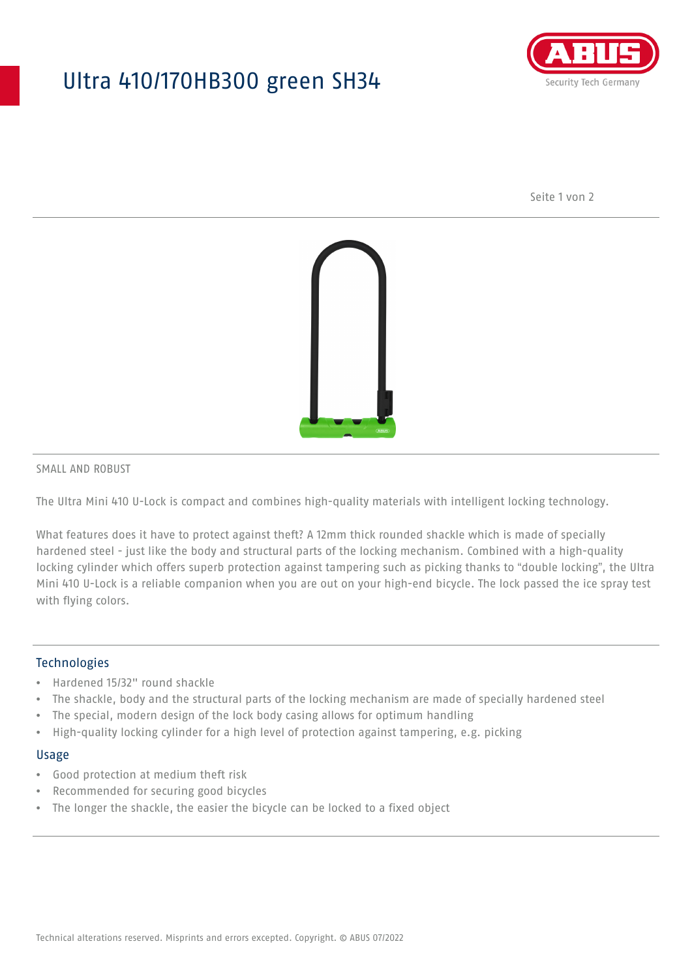## Ultra 410/170HB300 green SH34



Seite 1 von 2



#### SMALL AND ROBUST

The Ultra Mini 410 U-Lock is compact and combines high-quality materials with intelligent locking technology.

What features does it have to protect against theft? A 12mm thick rounded shackle which is made of specially hardened steel - just like the body and structural parts of the locking mechanism. Combined with a high-quality locking cylinder which offers superb protection against tampering such as picking thanks to "double locking", the Ultra Mini 410 U-Lock is a reliable companion when you are out on your high-end bicycle. The lock passed the ice spray test with flying colors.

#### **Technologies**

- Hardened 15/32" round shackle
- The shackle, body and the structural parts of the locking mechanism are made of specially hardened steel
- The special, modern design of the lock body casing allows for optimum handling
- High-quality locking cylinder for a high level of protection against tampering, e.g. picking

#### Usage

- Good protection at medium theft risk
- Recommended for securing good bicycles
- The longer the shackle, the easier the bicycle can be locked to a fixed object